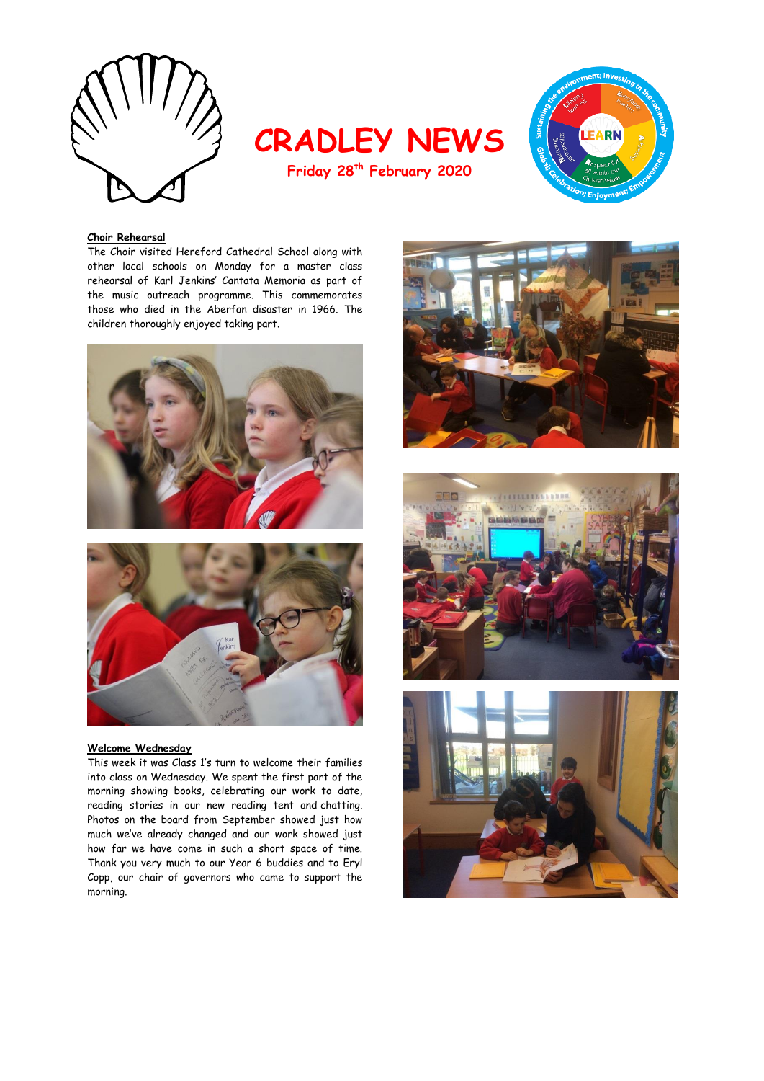

**CRADLEY NEWS Friday 28th February 2020**



# **Choir Rehearsal**

The Choir visited Hereford Cathedral School along with other local schools on Monday for a master class rehearsal of Karl Jenkins' Cantata Memoria as part of the music outreach programme. This commemorates those who died in the Aberfan disaster in 1966. The children thoroughly enjoyed taking part.





#### **Welcome Wednesday**

This week it was Class 1's turn to welcome their families into class on Wednesday. We spent the first part of the morning showing books, celebrating our work to date, reading stories in our new reading tent and chatting. Photos on the board from September showed just how much we've already changed and our work showed just how far we have come in such a short space of time. Thank you very much to our Year 6 buddies and to Eryl Copp, our chair of governors who came to support the morning.





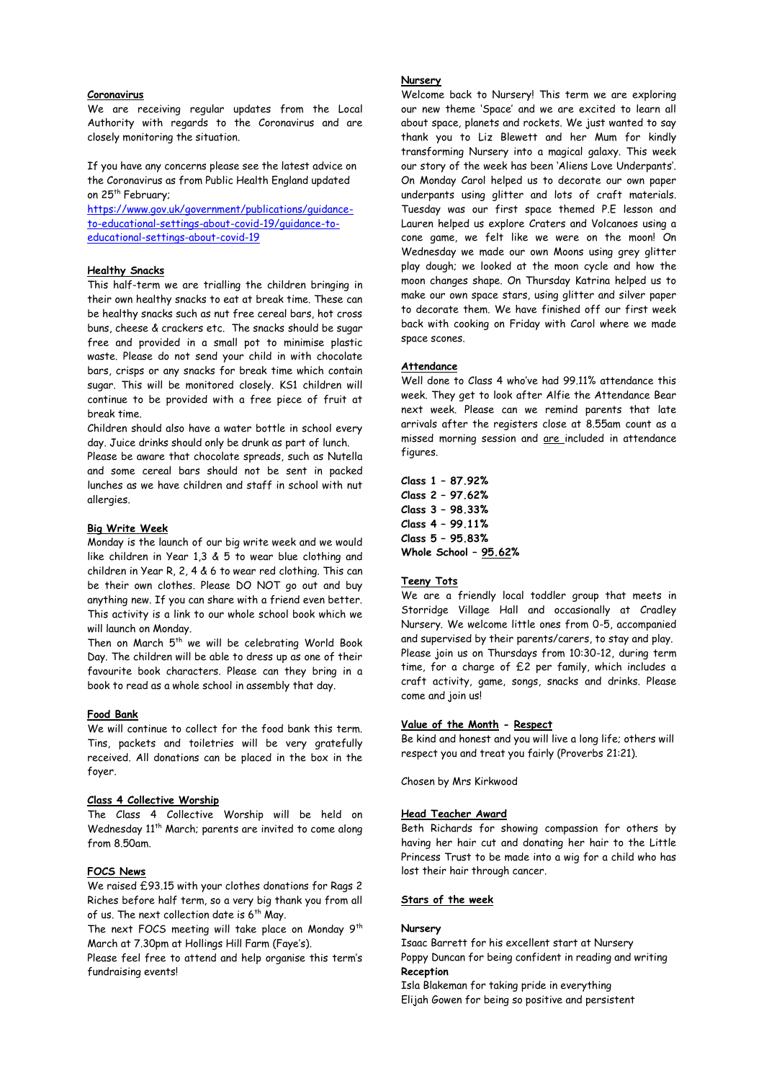# **Coronavirus**

We are receiving regular updates from the Local Authority with regards to the Coronavirus and are closely monitoring the situation.

If you have any concerns please see the latest advice on the Coronavirus as from Public Health England updated on 25<sup>th</sup> February;

[https://www.gov.uk/government/publications/guidance](https://www.gov.uk/government/publications/guidance-to-educational-settings-about-covid-19/guidance-to-educational-settings-about-covid-19)[to-educational-settings-about-covid-19/guidance-to](https://www.gov.uk/government/publications/guidance-to-educational-settings-about-covid-19/guidance-to-educational-settings-about-covid-19)[educational-settings-about-covid-19](https://www.gov.uk/government/publications/guidance-to-educational-settings-about-covid-19/guidance-to-educational-settings-about-covid-19)

#### **Healthy Snacks**

This half-term we are trialling the children bringing in their own healthy snacks to eat at break time. These can be healthy snacks such as nut free cereal bars, hot cross buns, cheese & crackers etc. The snacks should be sugar free and provided in a small pot to minimise plastic waste. Please do not send your child in with chocolate bars, crisps or any snacks for break time which contain sugar. This will be monitored closely. KS1 children will continue to be provided with a free piece of fruit at break time.

Children should also have a water bottle in school every day. Juice drinks should only be drunk as part of lunch.

Please be aware that chocolate spreads, such as Nutella and some cereal bars should not be sent in packed lunches as we have children and staff in school with nut allergies.

#### **Big Write Week**

Monday is the launch of our big write week and we would like children in Year 1.3 & 5 to wear blue clothing and children in Year R, 2, 4 & 6 to wear red clothing. This can be their own clothes. Please DO NOT go out and buy anything new. If you can share with a friend even better. This activity is a link to our whole school book which we will launch on Monday.

Then on March  $5^{th}$  we will be celebrating World Book Day. The children will be able to dress up as one of their favourite book characters. Please can they bring in a book to read as a whole school in assembly that day.

# **Food Bank**

We will continue to collect for the food bank this term. Tins, packets and toiletries will be very gratefully received. All donations can be placed in the box in the foyer.

### **Class 4 Collective Worship**

The Class 4 Collective Worship will be held on Wednesday 11<sup>th</sup> March; parents are invited to come along from 8.50am.

# **FOCS News**

We raised £93.15 with your clothes donations for Rags 2 Riches before half term, so a very big thank you from all of us. The next collection date is  $6<sup>th</sup>$  May.

The next FOCS meeting will take place on Monday 9<sup>th</sup> March at 7.30pm at Hollings Hill Farm (Faye's).

Please feel free to attend and help organise this term's fundraising events!

# **Nursery**

Welcome back to Nursery! This term we are exploring our new theme 'Space' and we are excited to learn all about space, planets and rockets. We just wanted to say thank you to Liz Blewett and her Mum for kindly transforming Nursery into a magical galaxy. This week our story of the week has been 'Aliens Love Underpants'. On Monday Carol helped us to decorate our own paper underpants using glitter and lots of craft materials. Tuesday was our first space themed P.E lesson and Lauren helped us explore Craters and Volcanoes using a cone game, we felt like we were on the moon! On Wednesday we made our own Moons using grey glitter play dough; we looked at the moon cycle and how the moon changes shape. On Thursday Katrina helped us to make our own space stars, using glitter and silver paper to decorate them. We have finished off our first week back with cooking on Friday with Carol where we made space scones.

#### **Attendance**

Well done to Class 4 who've had 99.11% attendance this week. They get to look after Alfie the Attendance Bear next week. Please can we remind parents that late arrivals after the registers close at 8.55am count as a missed morning session and are included in attendance figures.

**Class 1 – 87.92% Class 2 – 97.62% Class 3 – 98.33% Class 4 – 99.11% Class 5 – 95.83% Whole School – 95.62%**

## **Teeny Tots**

We are a friendly local toddler group that meets in Storridge Village Hall and occasionally at Cradley Nursery. We welcome little ones from 0-5, accompanied and supervised by their parents/carers, to stay and play. Please join us on Thursdays from 10:30-12, during term time, for a charge of £2 per family, which includes a craft activity, game, songs, snacks and drinks. Please come and join us!

### **Value of the Month - Respect**

Be kind and honest and you will live a long life; others will respect you and treat you fairly (Proverbs 21:21).

Chosen by Mrs Kirkwood

#### **Head Teacher Award**

Beth Richards for showing compassion for others by having her hair cut and donating her hair to the Little Princess Trust to be made into a wig for a child who has lost their hair through cancer.

# **Stars of the week**

#### **Nursery**

Isaac Barrett for his excellent start at Nursery Poppy Duncan for being confident in reading and writing **Reception**

Isla Blakeman for taking pride in everything Elijah Gowen for being so positive and persistent